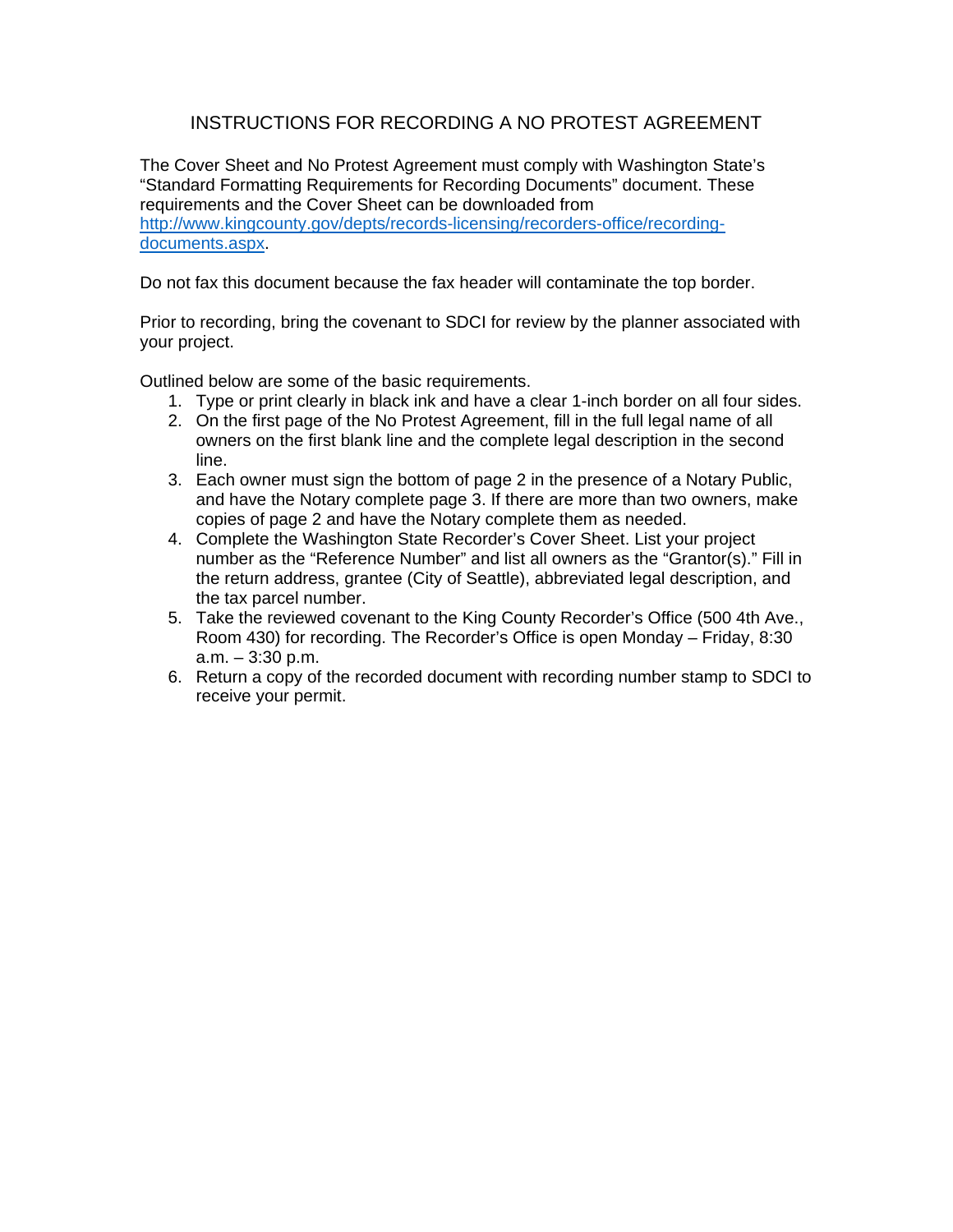## INSTRUCTIONS FOR RECORDING A NO PROTEST AGREEMENT

The Cover Sheet and No Protest Agreement must comply with Washington State's "Standard Formatting Requirements for Recording Documents" document. These requirements and the Cover Sheet can be downloaded from http://www.kingcounty.gov/depts/records-licensing/recorders-office/recordingdocuments.aspx.

Do not fax this document because the fax header will contaminate the top border.

Prior to recording, bring the covenant to SDCI for review by the planner associated with your project.

Outlined below are some of the basic requirements.

- 1. Type or print clearly in black ink and have a clear 1-inch border on all four sides.
- 2. On the first page of the No Protest Agreement, fill in the full legal name of all owners on the first blank line and the complete legal description in the second line.
- 3. Each owner must sign the bottom of page 2 in the presence of a Notary Public, and have the Notary complete page 3. If there are more than two owners, make copies of page 2 and have the Notary complete them as needed.
- 4. Complete the Washington State Recorder's Cover Sheet. List your project number as the "Reference Number" and list all owners as the "Grantor(s)." Fill in the return address, grantee (City of Seattle), abbreviated legal description, and the tax parcel number.
- 5. Take the reviewed covenant to the King County Recorder's Office (500 4th Ave., Room 430) for recording. The Recorder's Office is open Monday – Friday, 8:30 a.m. – 3:30 p.m.
- 6. Return a copy of the recorded document with recording number stamp to SDCI to receive your permit.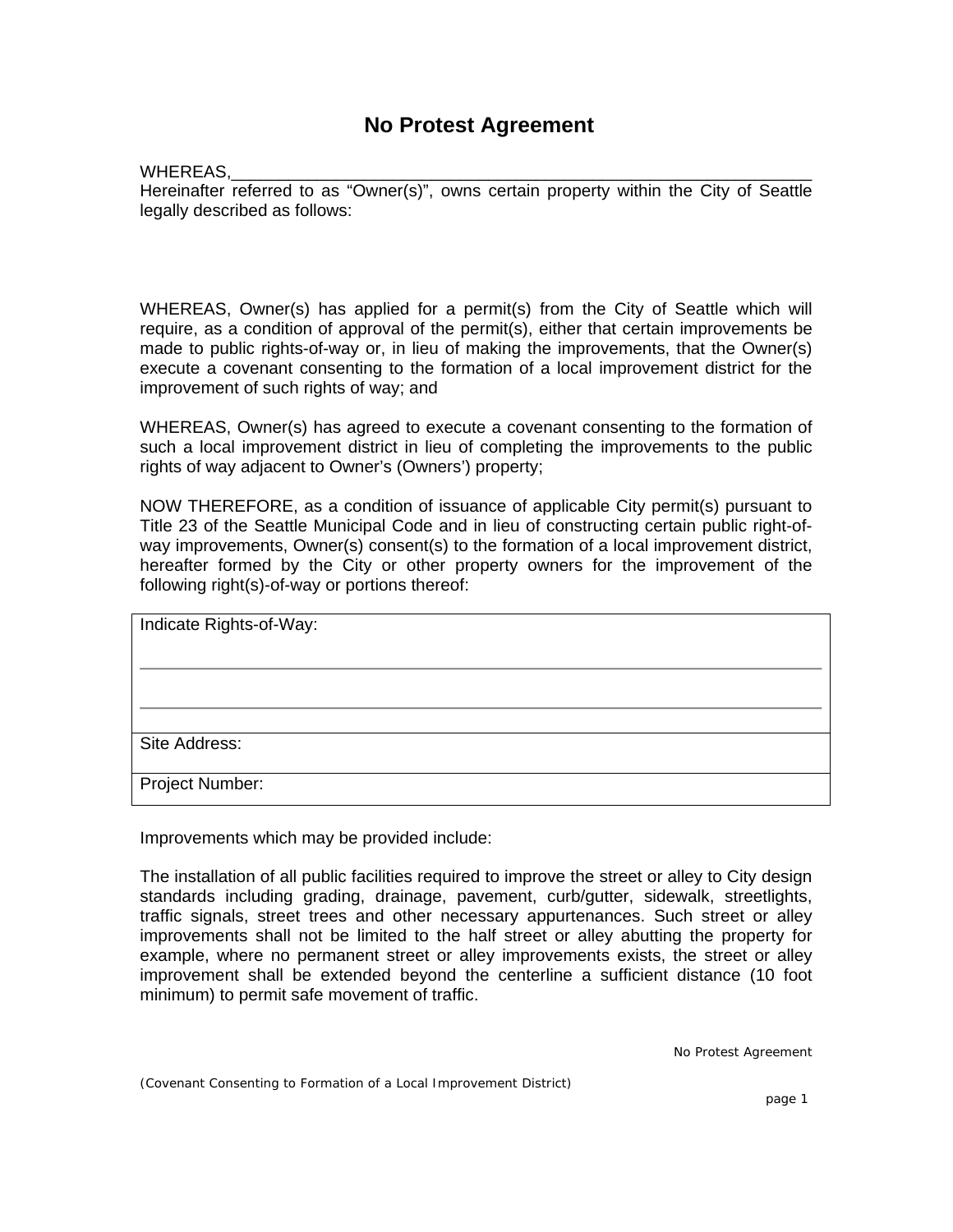## **No Protest Agreement**

## WHEREAS,

Hereinafter referred to as "Owner(s)", owns certain property within the City of Seattle legally described as follows:

WHEREAS, Owner(s) has applied for a permit(s) from the City of Seattle which will require, as a condition of approval of the permit(s), either that certain improvements be made to public rights-of-way or, in lieu of making the improvements, that the Owner(s) execute a covenant consenting to the formation of a local improvement district for the improvement of such rights of way; and

WHEREAS, Owner(s) has agreed to execute a covenant consenting to the formation of such a local improvement district in lieu of completing the improvements to the public rights of way adjacent to Owner's (Owners') property;

NOW THEREFORE, as a condition of issuance of applicable City permit(s) pursuant to Title 23 of the Seattle Municipal Code and in lieu of constructing certain public right-ofway improvements, Owner(s) consent(s) to the formation of a local improvement district, hereafter formed by the City or other property owners for the improvement of the following right(s)-of-way or portions thereof:

| Indicate Rights-of-Way: |
|-------------------------|
|                         |
|                         |
|                         |
|                         |
| Site Address:           |
|                         |
| Project Number:         |
|                         |

Improvements which may be provided include:

The installation of all public facilities required to improve the street or alley to City design standards including grading, drainage, pavement, curb/gutter, sidewalk, streetlights, traffic signals, street trees and other necessary appurtenances. Such street or alley improvements shall not be limited to the half street or alley abutting the property for example, where no permanent street or alley improvements exists, the street or alley improvement shall be extended beyond the centerline a sufficient distance (10 foot minimum) to permit safe movement of traffic.

No Protest Agreement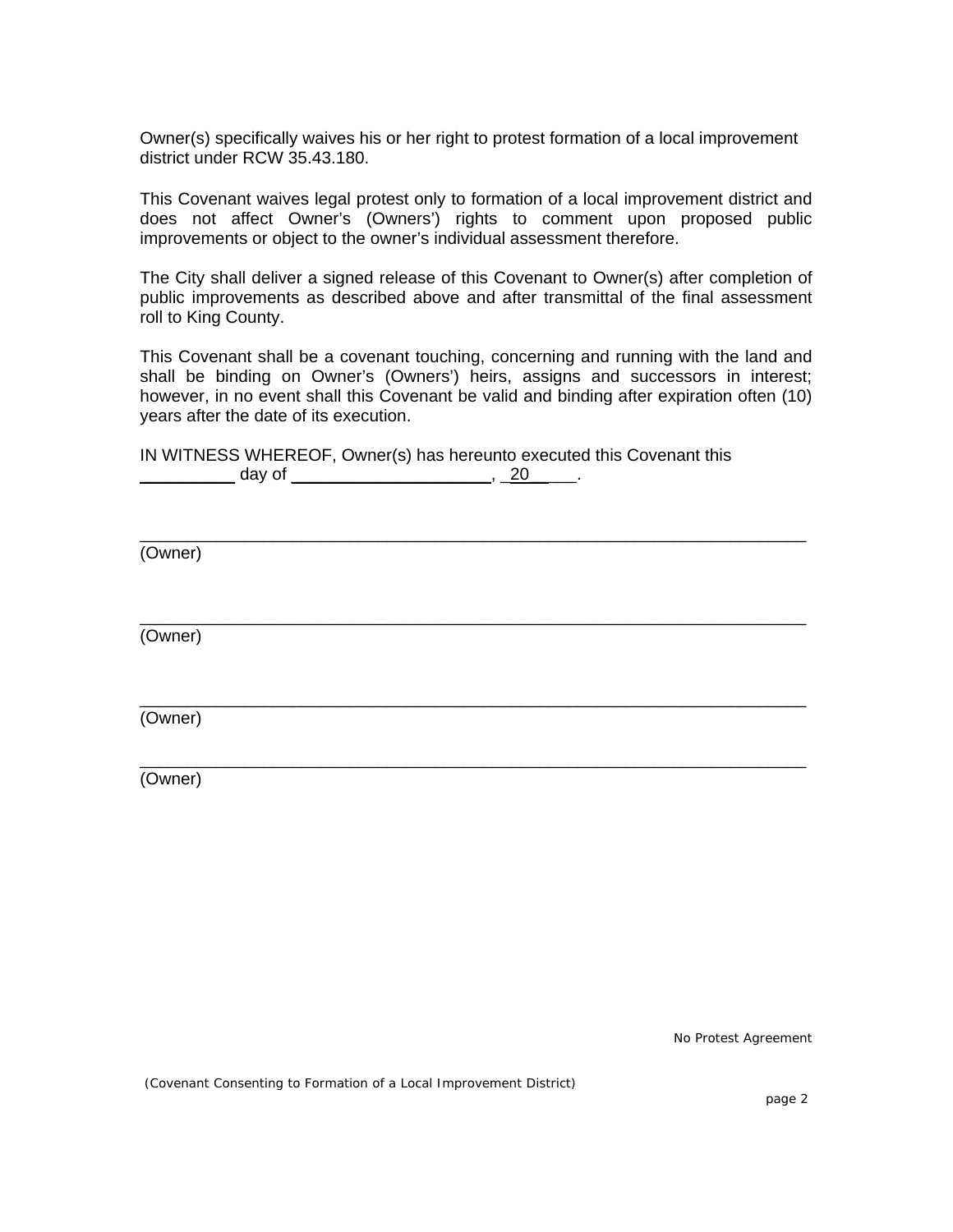Owner(s) specifically waives his or her right to protest formation of a local improvement district under RCW 35.43.180.

This Covenant waives legal protest only to formation of a local improvement district and does not affect Owner's (Owners') rights to comment upon proposed public improvements or object to the owner's individual assessment therefore.

The City shall deliver a signed release of this Covenant to Owner(s) after completion of public improvements as described above and after transmittal of the final assessment roll to King County.

This Covenant shall be a covenant touching, concerning and running with the land and shall be binding on Owner's (Owners') heirs, assigns and successors in interest; however, in no event shall this Covenant be valid and binding after expiration often (10) years after the date of its execution.

\_\_\_\_\_\_\_\_\_\_\_\_\_\_\_\_\_\_\_\_\_\_\_\_\_\_\_\_\_\_\_\_\_\_\_\_\_\_\_\_\_\_\_\_\_\_\_\_\_\_\_\_\_\_\_\_\_\_\_\_\_\_\_\_\_\_\_\_\_\_

\_\_\_\_\_\_\_\_\_\_\_\_\_\_\_\_\_\_\_\_\_\_\_\_\_\_\_\_\_\_\_\_\_\_\_\_\_\_\_\_\_\_\_\_\_\_\_\_\_\_\_\_\_\_\_\_\_\_\_\_\_\_\_\_\_\_\_\_\_\_

\_\_\_\_\_\_\_\_\_\_\_\_\_\_\_\_\_\_\_\_\_\_\_\_\_\_\_\_\_\_\_\_\_\_\_\_\_\_\_\_\_\_\_\_\_\_\_\_\_\_\_\_\_\_\_\_\_\_\_\_\_\_\_\_\_\_\_\_\_\_

\_\_\_\_\_\_\_\_\_\_\_\_\_\_\_\_\_\_\_\_\_\_\_\_\_\_\_\_\_\_\_\_\_\_\_\_\_\_\_\_\_\_\_\_\_\_\_\_\_\_\_\_\_\_\_\_\_\_\_\_\_\_\_\_\_\_\_\_\_\_

|        | IN WITNESS WHEREOF, Owner(s) has hereunto executed this Covenant this |
|--------|-----------------------------------------------------------------------|
| day of |                                                                       |

(Owner)

(Owner)

(Owner)

(Owner)

No Protest Agreement

(Covenant Consenting to Formation of a Local Improvement District)